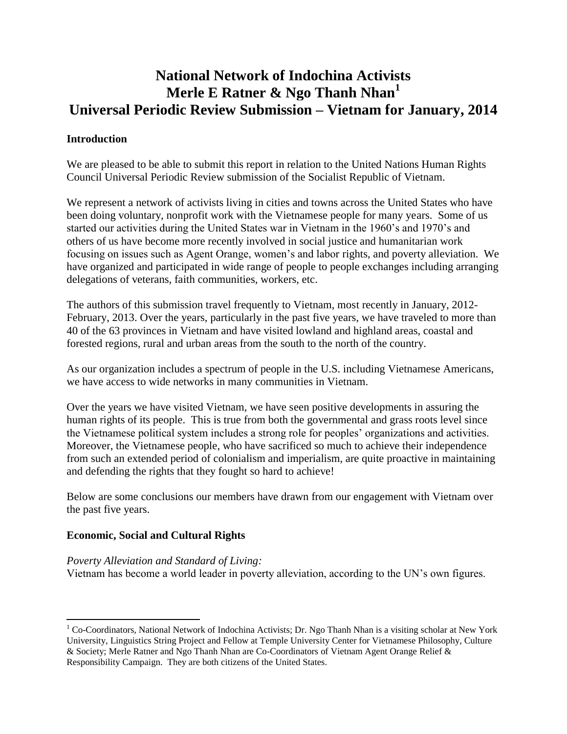# **National Network of Indochina Activists Merle E Ratner & Ngo Thanh Nhan<sup>1</sup> Universal Periodic Review Submission – Vietnam for January, 2014**

## **Introduction**

We are pleased to be able to submit this report in relation to the United Nations Human Rights Council Universal Periodic Review submission of the Socialist Republic of Vietnam.

We represent a network of activists living in cities and towns across the United States who have been doing voluntary, nonprofit work with the Vietnamese people for many years. Some of us started our activities during the United States war in Vietnam in the 1960's and 1970's and others of us have become more recently involved in social justice and humanitarian work focusing on issues such as Agent Orange, women's and labor rights, and poverty alleviation. We have organized and participated in wide range of people to people exchanges including arranging delegations of veterans, faith communities, workers, etc.

The authors of this submission travel frequently to Vietnam, most recently in January, 2012- February, 2013. Over the years, particularly in the past five years, we have traveled to more than 40 of the 63 provinces in Vietnam and have visited lowland and highland areas, coastal and forested regions, rural and urban areas from the south to the north of the country.

As our organization includes a spectrum of people in the U.S. including Vietnamese Americans, we have access to wide networks in many communities in Vietnam.

Over the years we have visited Vietnam, we have seen positive developments in assuring the human rights of its people. This is true from both the governmental and grass roots level since the Vietnamese political system includes a strong role for peoples' organizations and activities. Moreover, the Vietnamese people, who have sacrificed so much to achieve their independence from such an extended period of colonialism and imperialism, are quite proactive in maintaining and defending the rights that they fought so hard to achieve!

Below are some conclusions our members have drawn from our engagement with Vietnam over the past five years.

#### **Economic, Social and Cultural Rights**

 $\overline{a}$ 

*Poverty Alleviation and Standard of Living:* Vietnam has become a world leader in poverty alleviation, according to the UN's own figures.

 $1$  Co-Coordinators, National Network of Indochina Activists; Dr. Ngo Thanh Nhan is a visiting scholar at New York University, Linguistics String Project and Fellow at Temple University Center for Vietnamese Philosophy, Culture & Society; Merle Ratner and Ngo Thanh Nhan are Co-Coordinators of Vietnam Agent Orange Relief & Responsibility Campaign. They are both citizens of the United States.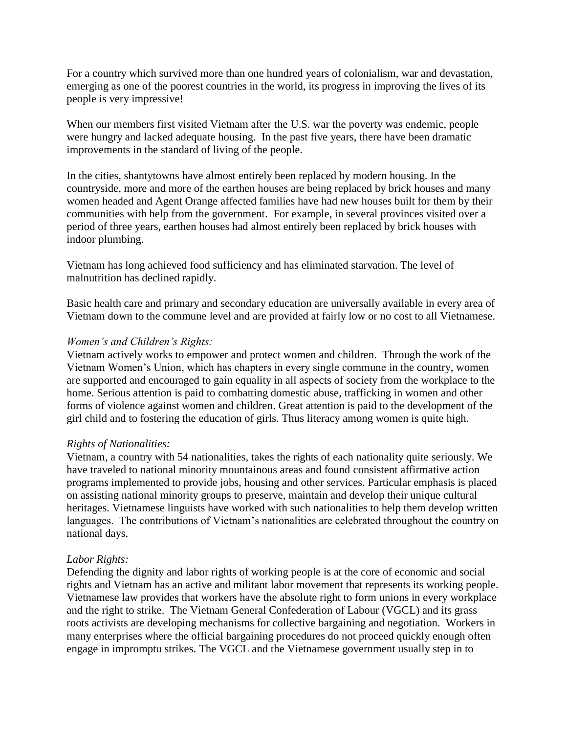For a country which survived more than one hundred years of colonialism, war and devastation, emerging as one of the poorest countries in the world, its progress in improving the lives of its people is very impressive!

When our members first visited Vietnam after the U.S. war the poverty was endemic, people were hungry and lacked adequate housing. In the past five years, there have been dramatic improvements in the standard of living of the people.

In the cities, shantytowns have almost entirely been replaced by modern housing. In the countryside, more and more of the earthen houses are being replaced by brick houses and many women headed and Agent Orange affected families have had new houses built for them by their communities with help from the government. For example, in several provinces visited over a period of three years, earthen houses had almost entirely been replaced by brick houses with indoor plumbing.

Vietnam has long achieved food sufficiency and has eliminated starvation. The level of malnutrition has declined rapidly.

Basic health care and primary and secondary education are universally available in every area of Vietnam down to the commune level and are provided at fairly low or no cost to all Vietnamese.

#### *Women's and Children's Rights:*

Vietnam actively works to empower and protect women and children. Through the work of the Vietnam Women's Union, which has chapters in every single commune in the country, women are supported and encouraged to gain equality in all aspects of society from the workplace to the home. Serious attention is paid to combatting domestic abuse, trafficking in women and other forms of violence against women and children. Great attention is paid to the development of the girl child and to fostering the education of girls. Thus literacy among women is quite high.

#### *Rights of Nationalities:*

Vietnam, a country with 54 nationalities, takes the rights of each nationality quite seriously. We have traveled to national minority mountainous areas and found consistent affirmative action programs implemented to provide jobs, housing and other services. Particular emphasis is placed on assisting national minority groups to preserve, maintain and develop their unique cultural heritages. Vietnamese linguists have worked with such nationalities to help them develop written languages. The contributions of Vietnam's nationalities are celebrated throughout the country on national days.

#### *Labor Rights:*

Defending the dignity and labor rights of working people is at the core of economic and social rights and Vietnam has an active and militant labor movement that represents its working people. Vietnamese law provides that workers have the absolute right to form unions in every workplace and the right to strike. The Vietnam General Confederation of Labour (VGCL) and its grass roots activists are developing mechanisms for collective bargaining and negotiation. Workers in many enterprises where the official bargaining procedures do not proceed quickly enough often engage in impromptu strikes. The VGCL and the Vietnamese government usually step in to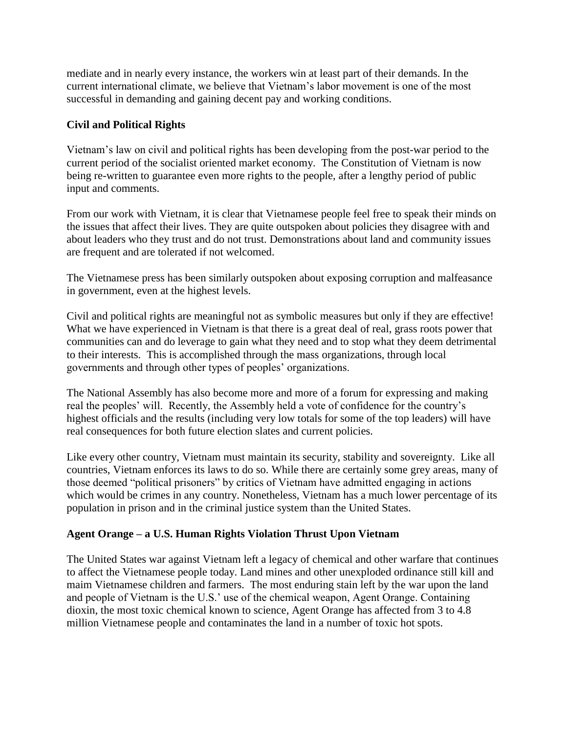mediate and in nearly every instance, the workers win at least part of their demands. In the current international climate, we believe that Vietnam's labor movement is one of the most successful in demanding and gaining decent pay and working conditions.

# **Civil and Political Rights**

Vietnam's law on civil and political rights has been developing from the post-war period to the current period of the socialist oriented market economy. The Constitution of Vietnam is now being re-written to guarantee even more rights to the people, after a lengthy period of public input and comments.

From our work with Vietnam, it is clear that Vietnamese people feel free to speak their minds on the issues that affect their lives. They are quite outspoken about policies they disagree with and about leaders who they trust and do not trust. Demonstrations about land and community issues are frequent and are tolerated if not welcomed.

The Vietnamese press has been similarly outspoken about exposing corruption and malfeasance in government, even at the highest levels.

Civil and political rights are meaningful not as symbolic measures but only if they are effective! What we have experienced in Vietnam is that there is a great deal of real, grass roots power that communities can and do leverage to gain what they need and to stop what they deem detrimental to their interests. This is accomplished through the mass organizations, through local governments and through other types of peoples' organizations.

The National Assembly has also become more and more of a forum for expressing and making real the peoples' will. Recently, the Assembly held a vote of confidence for the country's highest officials and the results (including very low totals for some of the top leaders) will have real consequences for both future election slates and current policies.

Like every other country, Vietnam must maintain its security, stability and sovereignty. Like all countries, Vietnam enforces its laws to do so. While there are certainly some grey areas, many of those deemed "political prisoners" by critics of Vietnam have admitted engaging in actions which would be crimes in any country. Nonetheless, Vietnam has a much lower percentage of its population in prison and in the criminal justice system than the United States.

# **Agent Orange – a U.S. Human Rights Violation Thrust Upon Vietnam**

The United States war against Vietnam left a legacy of chemical and other warfare that continues to affect the Vietnamese people today. Land mines and other unexploded ordinance still kill and maim Vietnamese children and farmers. The most enduring stain left by the war upon the land and people of Vietnam is the U.S.' use of the chemical weapon, Agent Orange. Containing dioxin, the most toxic chemical known to science, Agent Orange has affected from 3 to 4.8 million Vietnamese people and contaminates the land in a number of toxic hot spots.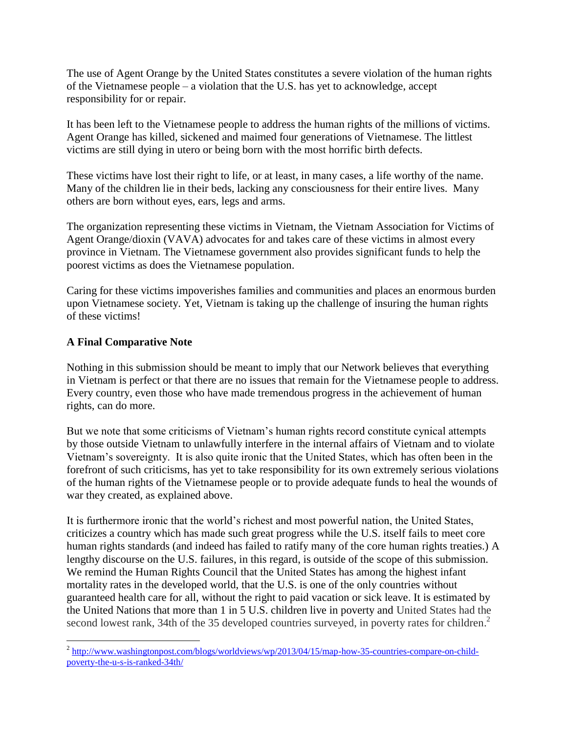The use of Agent Orange by the United States constitutes a severe violation of the human rights of the Vietnamese people – a violation that the U.S. has yet to acknowledge, accept responsibility for or repair.

It has been left to the Vietnamese people to address the human rights of the millions of victims. Agent Orange has killed, sickened and maimed four generations of Vietnamese. The littlest victims are still dying in utero or being born with the most horrific birth defects.

These victims have lost their right to life, or at least, in many cases, a life worthy of the name. Many of the children lie in their beds, lacking any consciousness for their entire lives. Many others are born without eyes, ears, legs and arms.

The organization representing these victims in Vietnam, the Vietnam Association for Victims of Agent Orange/dioxin (VAVA) advocates for and takes care of these victims in almost every province in Vietnam. The Vietnamese government also provides significant funds to help the poorest victims as does the Vietnamese population.

Caring for these victims impoverishes families and communities and places an enormous burden upon Vietnamese society. Yet, Vietnam is taking up the challenge of insuring the human rights of these victims!

# **A Final Comparative Note**

Nothing in this submission should be meant to imply that our Network believes that everything in Vietnam is perfect or that there are no issues that remain for the Vietnamese people to address. Every country, even those who have made tremendous progress in the achievement of human rights, can do more.

But we note that some criticisms of Vietnam's human rights record constitute cynical attempts by those outside Vietnam to unlawfully interfere in the internal affairs of Vietnam and to violate Vietnam's sovereignty. It is also quite ironic that the United States, which has often been in the forefront of such criticisms, has yet to take responsibility for its own extremely serious violations of the human rights of the Vietnamese people or to provide adequate funds to heal the wounds of war they created, as explained above.

It is furthermore ironic that the world's richest and most powerful nation, the United States, criticizes a country which has made such great progress while the U.S. itself fails to meet core human rights standards (and indeed has failed to ratify many of the core human rights treaties.) A lengthy discourse on the U.S. failures, in this regard, is outside of the scope of this submission. We remind the Human Rights Council that the United States has among the highest infant mortality rates in the developed world, that the U.S. is one of the only countries without guaranteed health care for all, without the right to paid vacation or sick leave. It is estimated by the United Nations that more than 1 in 5 U.S. children live in poverty and United States had the second lowest rank, 34th of the 35 developed countries surveyed, in poverty rates for children.<sup>2</sup>

 2 [http://www.washingtonpost.com/blogs/worldviews/wp/2013/04/15/map-how-35-countries-compare-on-child](http://www.washingtonpost.com/blogs/worldviews/wp/2013/04/15/map-how-35-countries-compare-on-child-poverty-the-u-s-is-ranked-34th/)[poverty-the-u-s-is-ranked-34th/](http://www.washingtonpost.com/blogs/worldviews/wp/2013/04/15/map-how-35-countries-compare-on-child-poverty-the-u-s-is-ranked-34th/)